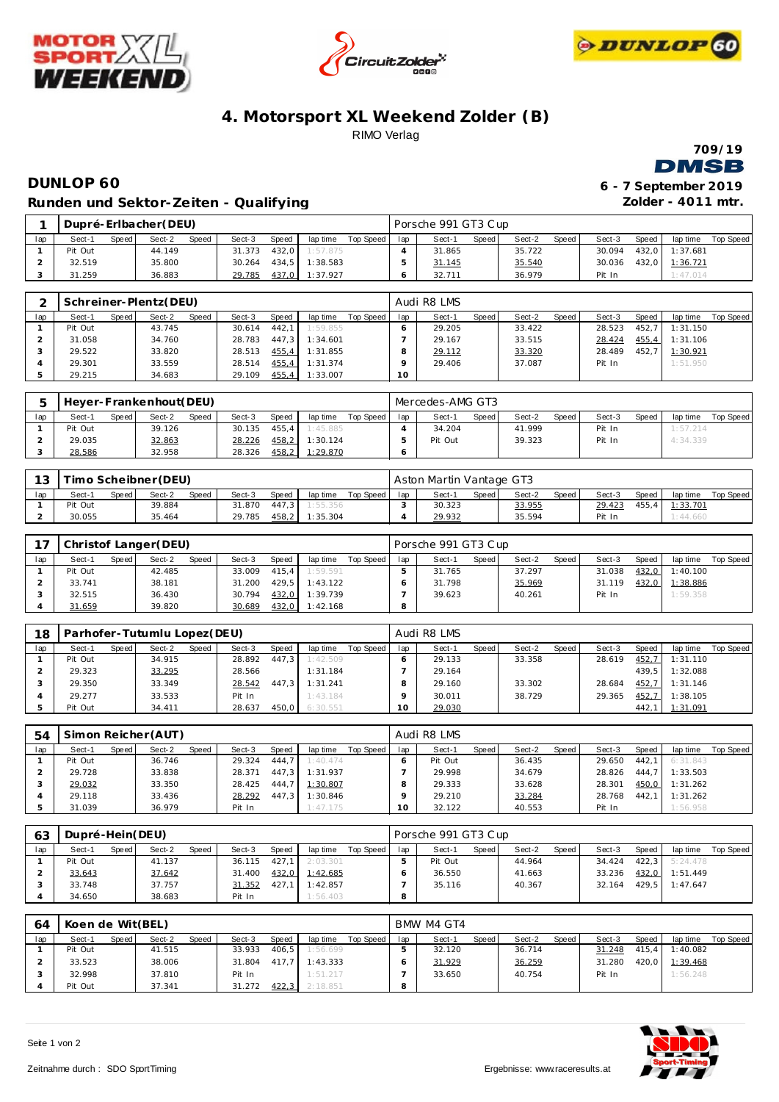





## **4. Motorsport XL Weekend Zolder (B)** RIMO Verlag



## **DUNLOP 60 Runden und Sektor-Ze iten - Qualifying**

| 6 - 7 September 2019 |  |
|----------------------|--|
| Zolder - 4011 mtr.   |  |

|     |         |              | Dupré-Erlbacher(DEU) |              |        |       |                |           |     | Porsche 991 GT3 Cup |       |        |       |        |       |          |           |
|-----|---------|--------------|----------------------|--------------|--------|-------|----------------|-----------|-----|---------------------|-------|--------|-------|--------|-------|----------|-----------|
| lap | Sect-1  | <b>Speed</b> | Sect-2               | <b>Speed</b> | Sect-3 | Speed | lap time       | Top Speed | lap | Sect-1              | Speed | Sect-2 | Speed | Sect-3 | Speed | lap time | Top Speed |
|     | Pit Out |              | 44.149               |              | 31.373 | 432.0 | 1:57.875       |           |     | 31.865              |       | 35.722 |       | 30.094 | 432.0 | 1:37.681 |           |
|     | 32.519  |              | 35,800               |              | 30.264 |       | 434.5 1:38.583 |           |     | 31.145              |       | 35.540 |       | 30.036 | 432.0 | 1:36.721 |           |
|     | 31.259  |              | 36.883               |              | 29.785 | 437,0 | 1:37.927       |           |     | 32.711              |       | 36.979 |       | Pit In |       | 1:47.014 |           |

|     |         |       | Schreiner-Plentz(DEU) |       |        |        |          |           |     | Audi R8 LMS |       |        |       |        |       |          |           |
|-----|---------|-------|-----------------------|-------|--------|--------|----------|-----------|-----|-------------|-------|--------|-------|--------|-------|----------|-----------|
| lap | Sect-1  | Speed | Sect-2                | Speed | Sect-3 | Speed  | lap time | Top Speed | lap | Sect-1      | Speed | Sect-2 | Speed | Sect-3 | Speed | lap time | Top Speed |
|     | Pit Out |       | 43.745                |       | 30.614 | 442.1  | 1:59.855 |           |     | 29.205      |       | 33.422 |       | 28.523 | 452.7 | 1:31.150 |           |
|     | 31.058  |       | 34.760                |       | 28.783 | 447.3  | 1:34.601 |           |     | 29.167      |       | 33.515 |       | 28.424 | 455.4 | 1:31.106 |           |
|     | 29.522  |       | 33.820                |       | 28.513 | 455, 4 | 1:31.855 |           |     | 29.112      |       | 33.320 |       | 28.489 | 452.7 | 1:30.921 |           |
|     | 29.301  |       | 33.559                |       | 28.514 | 455, 4 | 1:31.374 |           |     | 29.406      |       | 37.087 |       | Pit In |       | 1:51.950 |           |
|     | 29.215  |       | 34.683                |       | 29.109 | 455,4  | 1:33.007 |           | 10  |             |       |        |       |        |       |          |           |

|     |         |       | Heyer-Frankenhout(DEU) |       |        |       |          |           |     | Mercedes-AMG GT3 |         |        |         |        |       |          |           |
|-----|---------|-------|------------------------|-------|--------|-------|----------|-----------|-----|------------------|---------|--------|---------|--------|-------|----------|-----------|
| lap | Sect-1  | Speed | Sect-2                 | Speed | Sect-3 | Speed | lap time | Top Speed | lap | Sect-1           | Speed I | Sect-2 | Speed i | Sect-3 | Speed | lap time | Top Speed |
|     | Pit Out |       | 39.126                 |       | 30.135 | 455.4 | 1:45.885 |           |     | 34.204           |         | 41.999 |         | Pit In |       | 1:57.214 |           |
|     | 29.035  |       | 32.863                 |       | 28.226 | 458,2 | 1:30.124 |           |     | Pit Out          |         | 39.323 |         | Pit In |       | 4:34.339 |           |
|     | 28.586  |       | 32.958                 |       | 28.326 | 458,2 | 1:29.870 |           |     |                  |         |        |         |        |       |          |           |

| $\Omega$ |         |       | Timo Scheibner (DEU) |              |        |       |          |           |     | Aston Martin Vantage GT3 |       |        |       |        |       |          |           |
|----------|---------|-------|----------------------|--------------|--------|-------|----------|-----------|-----|--------------------------|-------|--------|-------|--------|-------|----------|-----------|
| lap      | Sect-1  | Speed | Sect-2               | <b>Speed</b> | Sect-3 | Speed | lap time | Top Speed | lap | Sect-1                   | Speed | Sect-2 | Speed | Sect-3 | Speed | lap time | Top Speed |
|          | Pit Out |       | 39.884               |              | 31.870 | 447.3 | 1:55.356 |           |     | 30.323                   |       | 33.955 |       | 29.423 | 455.4 | 1:33.701 |           |
|          | 30.055  |       | 35.464               |              | 29.785 | 458,2 | 1:35.304 |           |     | 29.932                   |       | 35.594 |       | Pit In |       | 1:44.660 |           |

|     |         |       | Christof Langer (DEU) |       |        |       |          |           |     | Porsche 991 GT3 Cup |       |        |       |        |       |          |           |
|-----|---------|-------|-----------------------|-------|--------|-------|----------|-----------|-----|---------------------|-------|--------|-------|--------|-------|----------|-----------|
| lap | Sect-1  | Speed | Sect-2                | Speed | Sect-3 | Speed | lap time | Top Speed | lap | Sect-1              | Speed | Sect-2 | Speed | Sect-3 | Speed | lap time | Top Speed |
|     | Pit Out |       | 42.485                |       | 33.009 | 415.4 | 1:59.591 |           |     | 31.765              |       | 37.297 |       | 31.038 | 432.0 | 1:40.100 |           |
|     | 33.741  |       | 38.181                |       | 31.200 | 429.5 | 1:43.122 |           |     | 31.798              |       | 35.969 |       | 31.119 | 432,0 | 1:38.886 |           |
|     | 32.515  |       | 36.430                |       | 30.794 | 432,0 | 1:39.739 |           |     | 39.623              |       | 40.261 |       | Pit In |       | 1:59.358 |           |
|     | 31.659  |       | 39.820                |       | 30.689 | 432,0 | 1:42.168 |           |     |                     |       |        |       |        |       |          |           |

| 18  |         |       | Parhofer-Tutumlu Lopez(DEU) |       |        |       |          |           |     | Audi R8 LMS |       |        |       |        |       |          |           |
|-----|---------|-------|-----------------------------|-------|--------|-------|----------|-----------|-----|-------------|-------|--------|-------|--------|-------|----------|-----------|
| lap | Sect-1  | Speed | Sect-2                      | Speed | Sect-3 | Speed | lap time | Top Speed | lap | Sect-1      | Speed | Sect-2 | Speed | Sect-3 | Speed | lap time | Top Speed |
|     | Pit Out |       | 34.915                      |       | 28.892 | 447.3 | 1:42.509 |           |     | 29.133      |       | 33.358 |       | 28.619 | 452,7 | 1:31.110 |           |
|     | 29.323  |       | 33.295                      |       | 28.566 |       | 1:31.184 |           |     | 29.164      |       |        |       |        | 439.5 | 1:32.088 |           |
|     | 29.350  |       | 33.349                      |       | 28.542 | 447.3 | 1:31.241 |           |     | 29.160      |       | 33.302 |       | 28.684 | 452,7 | 1:31.146 |           |
|     | 29.277  |       | 33.533                      |       | Pit In |       | 1:43.184 |           |     | 30.011      |       | 38.729 |       | 29.365 | 452,7 | 1:38.105 |           |
|     | Pit Out |       | 34.411                      |       | 28.637 | 450.0 | 6:30.551 |           | 0   | 29.030      |       |        |       |        | 442.7 | 1:31.091 |           |

| 54  |         |       | Simon Reicher (AUT) |       |        |       |          |           |     | Audi R8 LMS |       |        |       |        |       |          |           |
|-----|---------|-------|---------------------|-------|--------|-------|----------|-----------|-----|-------------|-------|--------|-------|--------|-------|----------|-----------|
| lap | Sect-1  | Speed | Sect-2              | Speed | Sect-3 | Speed | lap time | Top Speed | lap | Sect-1      | Speed | Sect-2 | Speed | Sect-3 | Speed | lap time | Top Speed |
|     | Pit Out |       | 36.746              |       | 29.324 | 444.7 | 1:40.474 |           |     | Pit Out     |       | 36.435 |       | 29.650 | 442.1 | 6:31.843 |           |
|     | 29.728  |       | 33.838              |       | 28.371 | 447.3 | 1:31.937 |           |     | 29.998      |       | 34.679 |       | 28.826 | 444.7 | 1:33.503 |           |
|     | 29.032  |       | 33.350              |       | 28.425 | 444.7 | 1:30.807 |           |     | 29.333      |       | 33.628 |       | 28.301 | 450,0 | 1:31.262 |           |
|     | 29.118  |       | 33.436              |       | 28.292 | 447.3 | 1:30.846 |           |     | 29.210      |       | 33.284 |       | 28.768 | 442.7 | 1:31.262 |           |
|     | 31.039  |       | 36.979              |       | Pit In |       | 1:47.175 |           |     | 32.122      |       | 40.553 |       | Pit In |       | 1:56.958 |           |

| 63  | Dupré-Hein(DEU) |       |        |       |        |       |          |           |     | Porsche 991 GT3 Cup |       |        |         |        |       |                |           |
|-----|-----------------|-------|--------|-------|--------|-------|----------|-----------|-----|---------------------|-------|--------|---------|--------|-------|----------------|-----------|
| lap | Sect-1          | Speed | Sect-2 | Speed | Sect-3 | Speed | lap time | Top Speed | lap | Sect-1              | Speed | Sect-2 | Speed i | Sect-3 | Speed | lap time       | Top Speed |
|     | Pit Out         |       | 41.137 |       | 36.115 | 427.1 | 2:03.301 |           |     | Pit Out             |       | 44.964 |         | 34.424 |       | 422.3 5:24.478 |           |
|     | 33.643          |       | 37.642 |       | 31.400 | 432,0 | 1:42.685 |           |     | 36.550              |       | 41.663 |         | 33.236 | 432.0 | 1:51.449       |           |
|     | 33.748          |       | 37.757 |       | 31.352 | 427.1 | 1:42.857 |           |     | 35.116              |       | 40.367 |         | 32.164 |       | 429.5 1:47.647 |           |
|     | 34.650          |       | 38.683 |       | Pit In |       | 1:56.403 |           | 8   |                     |       |        |         |        |       |                |           |

| 64  | Koen de Wit(BEL) |       |        |       |        |       |          |           |     | BMW M4 GT4 |       |        |       |        |       |          |                  |
|-----|------------------|-------|--------|-------|--------|-------|----------|-----------|-----|------------|-------|--------|-------|--------|-------|----------|------------------|
| lap | Sect-1           | Speed | Sect-2 | Speed | Sect-3 | Speed | lap time | Top Speed | lap | Sect-1     | Speed | Sect-2 | Speed | Sect-3 | Speed | lap time | <b>Top Speed</b> |
|     | Pit Out          |       | 41.515 |       | 33.933 | 406.5 | 1:56.699 |           |     | 32.120     |       | 36.714 |       | 31.248 | 415.4 | 1:40.082 |                  |
|     | 33.523           |       | 38.006 |       | 31.804 | 417.7 | 1:43.333 |           |     | 31.929     |       | 36.259 |       | 31.280 | 420.0 | 1:39.468 |                  |
|     | 32.998           |       | 37.810 |       | Pit In |       | 1:51.217 |           |     | 33.650     |       | 40.754 |       | Pit In |       | 1:56.248 |                  |
|     | Pit Out          |       | 37.341 |       | 31.272 | 422,3 | 2:18.851 |           |     |            |       |        |       |        |       |          |                  |